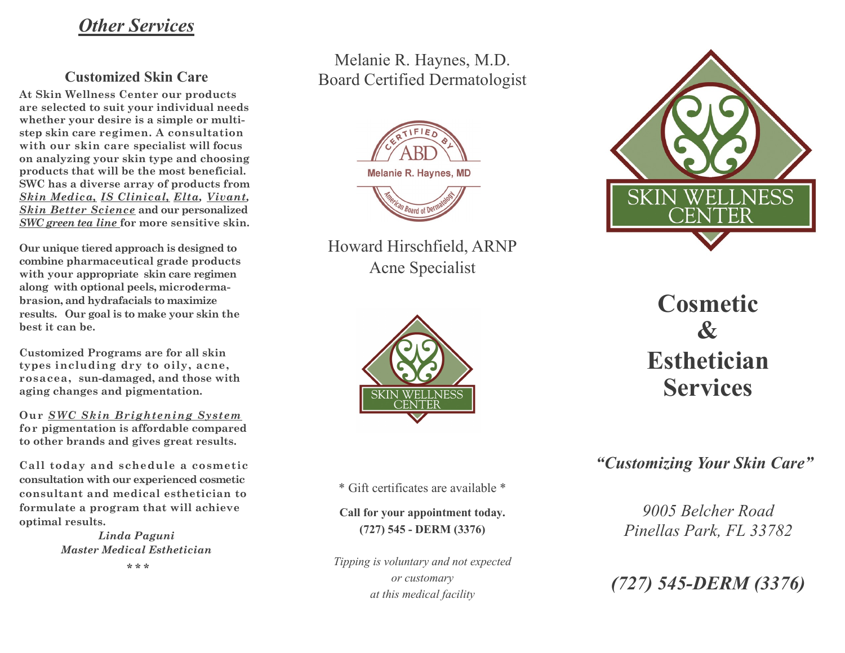## *Other Services*

#### **Customized Skin Care**

**At Skin Wellness Center our products are selected to suit your individual needs whether your desire is a simple or multistep skin care regimen. A consultation with our skin care specialist will focus on analyzing your skin type and choosing products that will be the most beneficial. SWC has a diverse array of products from**  *Skin Medica, IS Clinical, Elta, Vivant, Skin Better Science* **and our personalized**  *SWC green tea line* **for more sensitive skin.** 

**Our unique tiered approach is designed to combine pharmaceutical grade products with your appropriate skin care regimen along with optional peels, microdermabrasion, and hydrafacials to maximize results. Our goal is to make your skin the best it can be.** 

**Customized Programs are for all skin types including dry to oily, acne, rosacea, sun-damaged, and those with aging changes and pigmentation.** 

**Our** *SWC Skin Brightening System*  **for pigmentation is affordable compared to other brands and gives great results.** 

**Call today and schedule a cosmetic consultation with our experienced cosmetic consultant and medical esthetician to formulate a program that will achieve optimal results.**

> *Linda Paguni Master Medical Esthetician* **\* \* \***

### Melanie R. Haynes, M.D. Board Certified Dermatologist



Howard Hirschfield, ARNP Acne Specialist



# 'EL SKIN **NESS** ER

**Cosmetic & Esthetician Services**

*"Customizing Your Skin Care"* 

\* Gift certificates are available \*

**Call for your appointment today. (727) 545 - DERM (3376)** 

*Tipping is voluntary and not expected or customary at this medical facility*

*9005 Belcher Road Pinellas Park, FL 33782* 

*(727) 545-DERM (3376)*